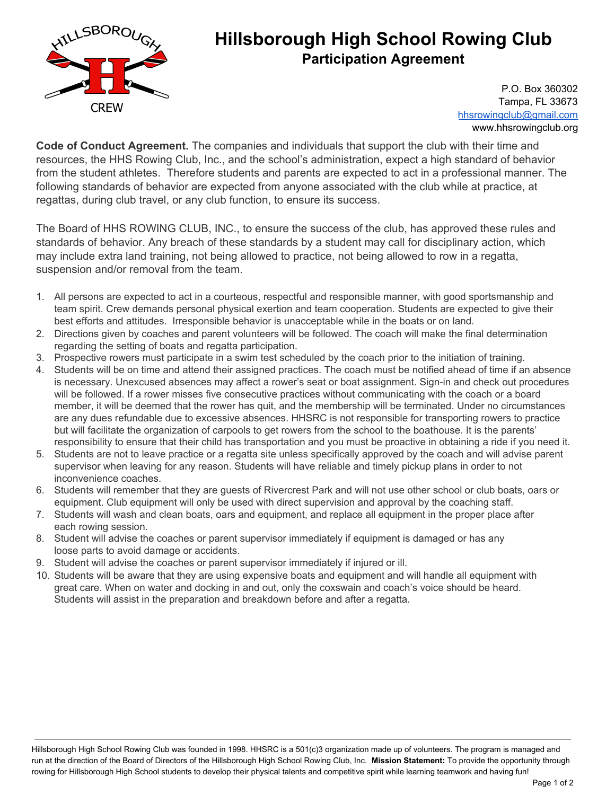

## **Hillsborough High School Rowing Club Participation Agreement**

P.O. Box 360302 Tampa, FL 33673 [hhsrowingclub@gmail.com](mailto:hhsrowingclub@gmail.com) www.hhsrowingclub.org

**Code of Conduct Agreement.** The companies and individuals that support the club with their time and resources, the HHS Rowing Club, Inc., and the school's administration, expect a high standard of behavior from the student athletes. Therefore students and parents are expected to act in a professional manner. The following standards of behavior are expected from anyone associated with the club while at practice, at regattas, during club travel, or any club function, to ensure its success.

The Board of HHS ROWING CLUB, INC., to ensure the success of the club, has approved these rules and standards of behavior. Any breach of these standards by a student may call for disciplinary action, which may include extra land training, not being allowed to practice, not being allowed to row in a regatta, suspension and/or removal from the team.

- 1. All persons are expected to act in a courteous, respectful and responsible manner, with good sportsmanship and team spirit. Crew demands personal physical exertion and team cooperation. Students are expected to give their best efforts and attitudes. Irresponsible behavior is unacceptable while in the boats or on land.
- 2. Directions given by coaches and parent volunteers will be followed. The coach will make the final determination regarding the setting of boats and regatta participation.
- 3. Prospective rowers must participate in a swim test scheduled by the coach prior to the initiation of training.
- 4. Students will be on time and attend their assigned practices. The coach must be notified ahead of time if an absence is necessary. Unexcused absences may affect a rower's seat or boat assignment. Sign-in and check out procedures will be followed. If a rower misses five consecutive practices without communicating with the coach or a board member, it will be deemed that the rower has quit, and the membership will be terminated. Under no circumstances are any dues refundable due to excessive absences. HHSRC is not responsible for transporting rowers to practice but will facilitate the organization of carpools to get rowers from the school to the boathouse. It is the parents' responsibility to ensure that their child has transportation and you must be proactive in obtaining a ride if you need it.
- 5. Students are not to leave practice or a regatta site unless specifically approved by the coach and will advise parent supervisor when leaving for any reason. Students will have reliable and timely pickup plans in order to not inconvenience coaches.
- 6. Students will remember that they are guests of Rivercrest Park and will not use other school or club boats, oars or equipment. Club equipment will only be used with direct supervision and approval by the coaching staff.
- 7. Students will wash and clean boats, oars and equipment, and replace all equipment in the proper place after each rowing session.
- 8. Student will advise the coaches or parent supervisor immediately if equipment is damaged or has any loose parts to avoid damage or accidents.
- 9. Student will advise the coaches or parent supervisor immediately if injured or ill.
- 10. Students will be aware that they are using expensive boats and equipment and will handle all equipment with great care. When on water and docking in and out, only the coxswain and coach's voice should be heard. Students will assist in the preparation and breakdown before and after a regatta.

Hillsborough High School Rowing Club was founded in 1998. HHSRC is a 501(c)3 organization made up of volunteers. The program is managed and run at the direction of the Board of Directors of the Hillsborough High School Rowing Club, Inc. **Mission Statement:** To provide the opportunity through rowing for Hillsborough High School students to develop their physical talents and competitive spirit while learning teamwork and having fun!